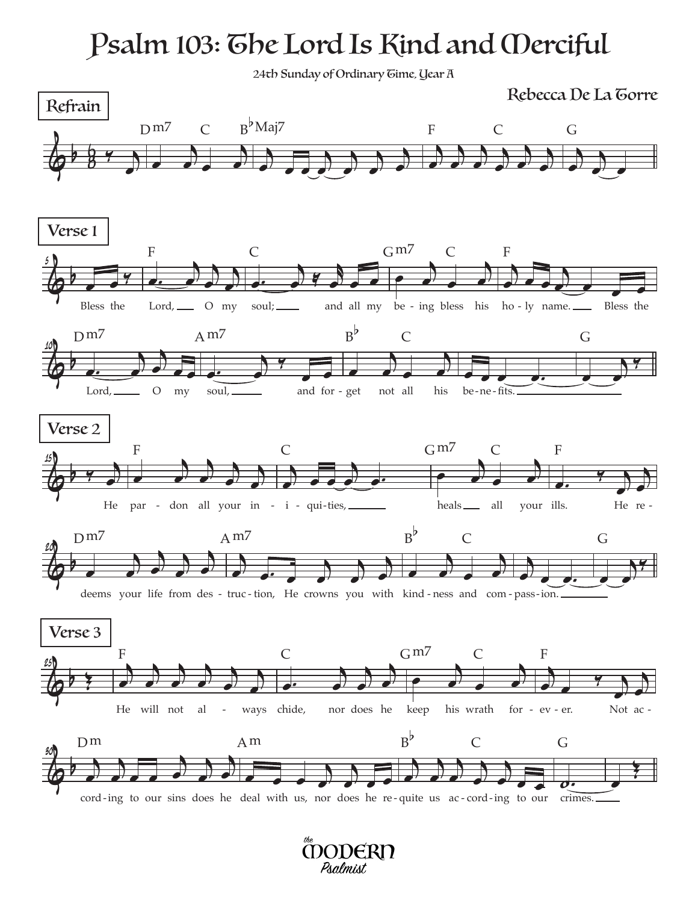## Psalm 103: The Lord Is Kind and Merciful

24th Sunday of Ordinary Gime, Year A

 $\frac{1}{2}$  $64$  $\sum_{i=1}^{n}$  $\frac{1}{2}$ œ  $D<sup>m7</sup>$  C j <sup>œ</sup> <sup>œ</sup> <sup>œ</sup> <sup>j</sup> <sup>œ</sup> <sup>j</sup>  $\overline{\mathcal{L}}$ œ j œ B b Maj7 j  $\frac{1}{2}$  $\overrightarrow{a}$ **Property**  $\overrightarrow{a}$ **b** œ F C j <sup>œ</sup> <sup>j</sup> œ œ G  $\phi$   $\theta$ 5  $\frac{1}{2}$ Bless the  $\overrightarrow{a}$  $\rightarrow$  $\frac{1}{e}$ œ  $Lord, \_\_\_$  O my F  $\frac{1}{2}$  $\rightarrow$   $\rightarrow$  $\sum$ soul; \_\_\_\_\_ and all my be - ing bless his ho - $\overline{C}$  $\rightarrow$ œ œ j œ  $G<sup>m7</sup>$  C j  $\frac{1}{2}$ œ œ œ œ ho - ly name. Bless the F  $\phi$ 10  $\overline{a}$ œ j œ œ œ  $Lord, \_\_\_$  O my Dm<sub>7</sub> **.** j œ ‰  $\overline{\phantom{a}}$ soul, \_\_\_\_\_\_ and for A m7  $\overrightarrow{ }$  $\frac{1}{\sqrt{2}}$ j œ -get not all his be-ne- $B^{\flat}$  $\mathcal C$ be-ne-fits.  $\overline{\phantom{0}}$ œ ‰ G  $\phi$ 15  $\overline{y}$ œ He  $\overrightarrow{a}$  $\rightarrow$ **)**  $\frac{1}{2}$ œ par - don all your in - i - qui-ties, \_\_\_\_\_\_\_\_ beals\_\_\_\_ all your ills. He re -F j  $\frac{1}{\sqrt{1-\frac{1}{2}}}\frac{1}{\sqrt{1-\frac{1}{2}}\frac{1}{\sqrt{1-\frac{1}{2}}}}$ <u>a) di</u> C  $\overrightarrow{=}$  $\frac{1}{\epsilon}$ j œ heals \_\_\_\_ all your ills.  $G<sup>m7</sup>$  C  $\frac{4}{5}$ œ j œ He re-F  $\phi$ 20  $\overrightarrow{ }$ œ j  $\frac{1}{2}$ œ j œ deems your life from des - truc - tion, He crowns you with kind - ness and com - pass - ion. D<sub>m</sub>7 j  $\frac{1}{2}$  $\overrightarrow{a}$ œ j œ  $A<sub>M</sub>$  $\overrightarrow{a}$  $\frac{1}{2}$ œ  $B^{\flat}$  $\mathsf{C}$ j  $\overline{\bigcup}$ œ ‰ G  $\phi$ 25  $\left( \frac{1}{2} \right)$  $\rightarrow$  $\rightarrow$  $\rightarrow$  $\frac{1}{2}$  $\frac{1}{2}$ œ He will not al - ways F  $\frac{1}{\sqrt{1-\frac{1}{\sqrt{1-\frac{1}{\sqrt{1-\frac{1}{\sqrt{1-\frac{1}{\sqrt{1-\frac{1}{\sqrt{1-\frac{1}{\sqrt{1-\frac{1}{\sqrt{1-\frac{1}{\sqrt{1-\frac{1}{\sqrt{1-\frac{1}{\sqrt{1-\frac{1}{\sqrt{1-\frac{1}{\sqrt{1-\frac{1}{\sqrt{1-\frac{1}{\sqrt{1-\frac{1}{\sqrt{1-\frac{1}{\sqrt{1-\frac{1}{\sqrt{1-\frac{1}{\sqrt{1-\frac{1}{\sqrt{1-\frac{1}{\sqrt{1-\frac{1}{\sqrt{1-\frac{1}{\sqrt{1-\frac{1}{\sqrt{1-\frac{1$  $\overrightarrow{a}$ œ j œ - ways chide, nor does he keep his wrath for - ev - er. Not ac -C  $\overrightarrow{ }$  $\frac{1}{\sqrt{2}}$ j œ keep his wrath for  $Gm7$  C j  $\frac{1}{\sqrt{2}}$  $\frac{1}{2}$ œ j œ Not ac -F  $\phi$   $\theta$ 30 j  $\rightarrow$  $\sum_{i=1}^n$  $\overrightarrow{a}$  $\frac{1}{\sqrt{1-\frac{1}{\sqrt{1-\frac{1}{\sqrt{1-\frac{1}{\sqrt{1-\frac{1}{\sqrt{1-\frac{1}{\sqrt{1-\frac{1}{\sqrt{1-\frac{1}{\sqrt{1-\frac{1}{\sqrt{1-\frac{1}{\sqrt{1-\frac{1}{\sqrt{1-\frac{1}{\sqrt{1-\frac{1}{\sqrt{1-\frac{1}{\sqrt{1-\frac{1}{\sqrt{1-\frac{1}{\sqrt{1-\frac{1}{\sqrt{1-\frac{1}{\sqrt{1-\frac{1}{\sqrt{1-\frac{1}{\sqrt{1-\frac{1}{\sqrt{1-\frac{1}{\sqrt{1-\frac{1}{\sqrt{1-\frac{1}{\sqrt{1-\frac{1$ œ cord ing to our sins does he deal with us, nor does he re-quite us ac-cord ing to our crimes. Dm  $\overline{c}$  $\overrightarrow{y}$ œ œ œ Am j  $\bigcup$  $\frac{1}{2}$ **)**  $\overrightarrow{ }$  $B^{\flat}$ b  $\overline{C}$  $\overline{\boldsymbol{\phi}}$  . G œ Œ Refrain Rebecca De La Torre Verse 1 Verse 2 Verse 3

> **CODERD** Psalmist